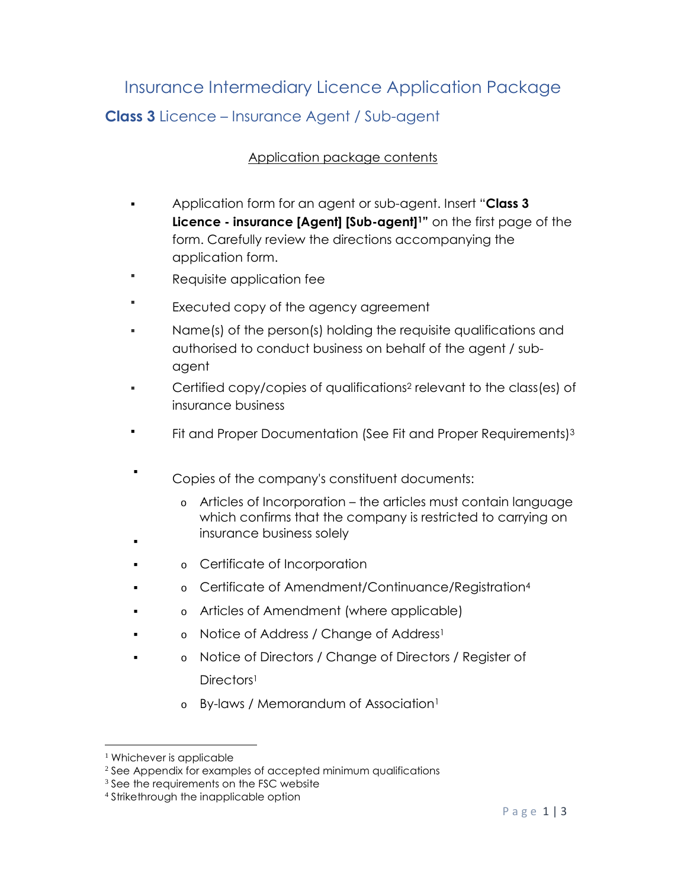## Insurance Intermediary Licence Application Package **Class 3** Licence – Insurance Agent / Sub-agent

## Application package contents

- Application form for an agent or sub-agent. Insert "**Class 3 Licence - insurance [Agent] [Sub-agent]1"** on the first page of the form. Carefully review the directions accompanying the application form.
- Requisite application fee
- ı Executed copy of the agency agreement
- Name(s) of the person(s) holding the requisite qualifications and authorised to conduct business on behalf of the agent / subagent
- Certified copy/copies of qualifications2 relevant to the class(es) of insurance business
- Fit and Proper Documentation (See Fit and Proper Requirements)<sup>3</sup>
- . Copies of the company's constituent documents:
	- o Articles of Incorporation the articles must contain language which confirms that the company is restricted to carrying on insurance business solely
- : o Certificate of Incorporation
- . o Certificate of Amendment/Continuance/Registration<sup>4</sup>
- . o Articles of Amendment (where applicable)
- : o Notice of Address / Change of Address<sup>1</sup>
- : o Notice of Directors / Change of Directors / Register of Directors<sup>1</sup>
	- o By-laws / Memorandum of Association<sup>1</sup>

.

<sup>&</sup>lt;sup>1</sup> Whichever is applicable

<sup>&</sup>lt;sup>2</sup> See Appendix for examples of accepted minimum qualifications

<sup>&</sup>lt;sup>3</sup> See the requirements on the FSC website

<sup>4</sup> Strikethrough the inapplicable option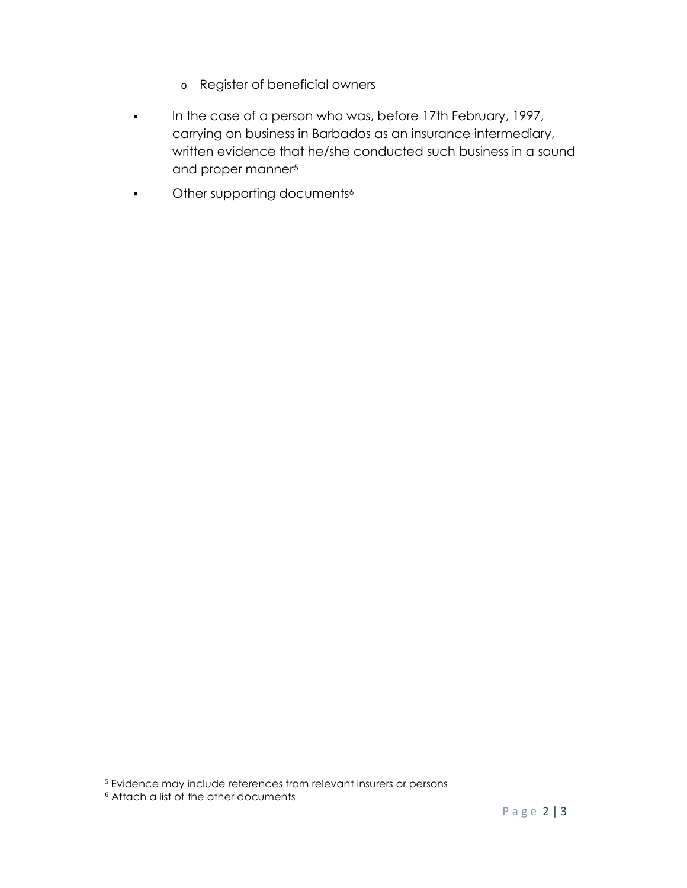- o Register of beneficial owners
- In the case of a person who was, before 17th February, 1997, carrying on business in Barbados as an insurance intermediary, written evidence that he/she conducted such business in a sound and proper manner<sup>5</sup>
- **•** Other supporting documents<sup>6</sup>

<sup>5</sup> Evidence may include references from relevant insurers or persons

<sup>6</sup> Attach a list of the other documents